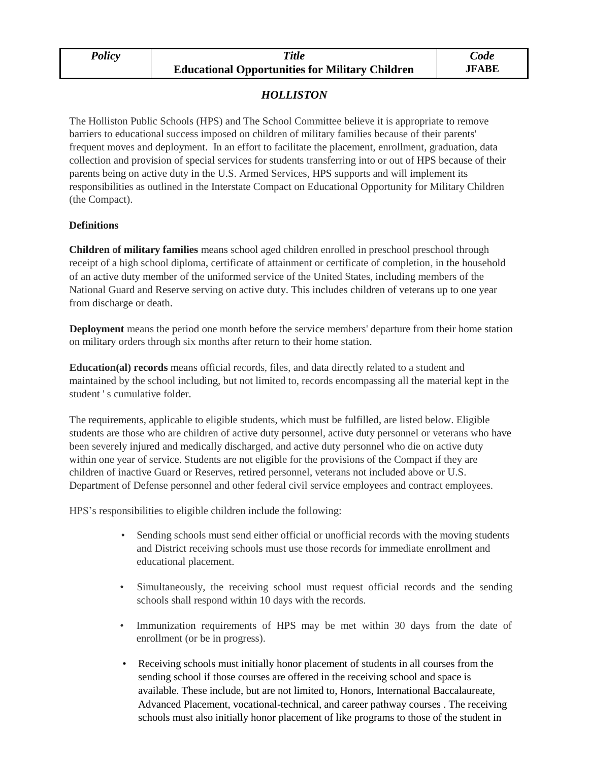| Policy | Title                                                  | Code         |
|--------|--------------------------------------------------------|--------------|
|        | <b>Educational Opportunities for Military Children</b> | <b>JFABE</b> |

## *HOLLISTON*

The Holliston Public Schools (HPS) and The School Committee believe it is appropriate to remove barriers to educational success imposed on children of military families because of their parents' frequent moves and deployment. In an effort to facilitate the placement, enrollment, graduation, data collection and provision of special services for students transferring into or out of HPS because of their parents being on active duty in the U.S. Armed Services, HPS supports and will implement its responsibilities as outlined in the Interstate Compact on Educational Opportunity for Military Children (the Compact).

## **Definitions**

**Children of military families** means school aged children enrolled in preschool preschool through receipt of a high school diploma, certificate of attainment or certificate of completion, in the household of an active duty member of the uniformed service of the United States, including members of the National Guard and Reserve serving on active duty. This includes children of veterans up to one year from discharge or death.

**Deployment** means the period one month before the service members' departure from their home station on military orders through six months after return to their home station.

**Education(al) records** means official records, files, and data directly related to a student and maintained by the school including, but not limited to, records encompassing all the material kept in the student ' s cumulative folder.

The requirements, applicable to eligible students, which must be fulfilled, are listed below. Eligible students are those who are children of active duty personnel, active duty personnel or veterans who have been severely injured and medically discharged, and active duty personnel who die on active duty within one year of service. Students are not eligible for the provisions of the Compact if they are children of inactive Guard or Reserves, retired personnel, veterans not included above or U.S. Department of Defense personnel and other federal civil service employees and contract employees.

HPS's responsibilities to eligible children include the following:

- Sending schools must send either official or unofficial records with the moving students and District receiving schools must use those records for immediate enrollment and educational placement.
- Simultaneously, the receiving school must request official records and the sending schools shall respond within 10 days with the records.
- Immunization requirements of HPS may be met within 30 days from the date of enrollment (or be in progress).
- Receiving schools must initially honor placement of students in all courses from the sending school if those courses are offered in the receiving school and space is available. These include, but are not limited to, Honors, International Baccalaureate, Advanced Placement, vocational-technical, and career pathway courses . The receiving schools must also initially honor placement of like programs to those of the student in